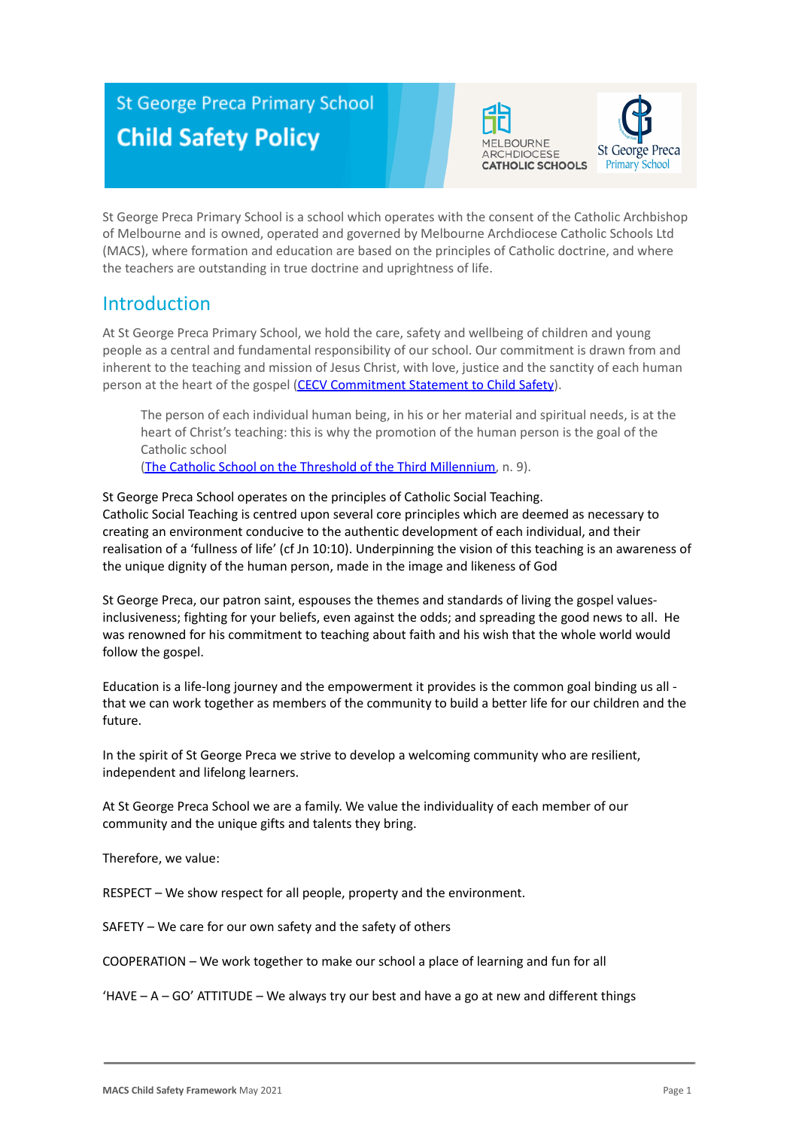# **St George Preca Primary School Child Safety Policy**





St George Preca Primary School is a school which operates with the consent of the Catholic Archbishop of Melbourne and is owned, operated and governed by Melbourne Archdiocese Catholic Schools Ltd (MACS), where formation and education are based on the principles of Catholic doctrine, and where the teachers are outstanding in true doctrine and uprightness of life.

### **Introduction**

At St George Preca Primary School, we hold the care, safety and wellbeing of children and young people as a central and fundamental responsibility of our school. Our commitment is drawn from and inherent to the teaching and mission of Jesus Christ, with love, justice and the sanctity of each human person at the heart of the gospel (CECV Commitment [Statement to Child Safety](https://www.cecv.catholic.edu.au/getmedia/b5d43278-51b9-4704-b45a-f14e50546a70/Commitment-Statement-A4.aspx)).

The person of each individual human being, in his or her material and spiritual needs, is at the heart of Christ's teaching: this is why the promotion of the human person is the goal of the Catholic school

[\(The Catholic School on the Threshold of the Third](http://www.vatican.va/roman_curia/congregations/ccatheduc/documents/rc_con_ccatheduc_doc_27041998_school2000_en.html) Millennium, n. 9).

St George Preca School operates on the principles of Catholic Social Teaching. Catholic Social Teaching is centred upon several core principles which are deemed as necessary to creating an environment conducive to the authentic development of each individual, and their realisation of a 'fullness of life' (cf Jn 10:10). Underpinning the vision of this teaching is an awareness of the unique dignity of the human person, made in the image and likeness of God

St George Preca, our patron saint, espouses the themes and standards of living the gospel valuesinclusiveness; fighting for your beliefs, even against the odds; and spreading the good news to all. He was renowned for his commitment to teaching about faith and his wish that the whole world would follow the gospel.

Education is a life-long journey and the empowerment it provides is the common goal binding us all that we can work together as members of the community to build a better life for our children and the future.

In the spirit of St George Preca we strive to develop a welcoming community who are resilient, independent and lifelong learners.

At St George Preca School we are a family. We value the individuality of each member of our community and the unique gifts and talents they bring.

Therefore, we value:

RESPECT – We show respect for all people, property and the environment.

SAFETY – We care for our own safety and the safety of others

COOPERATION – We work together to make our school a place of learning and fun for all

 $H = A - GO'$  ATTITUDE – We always try our best and have a go at new and different things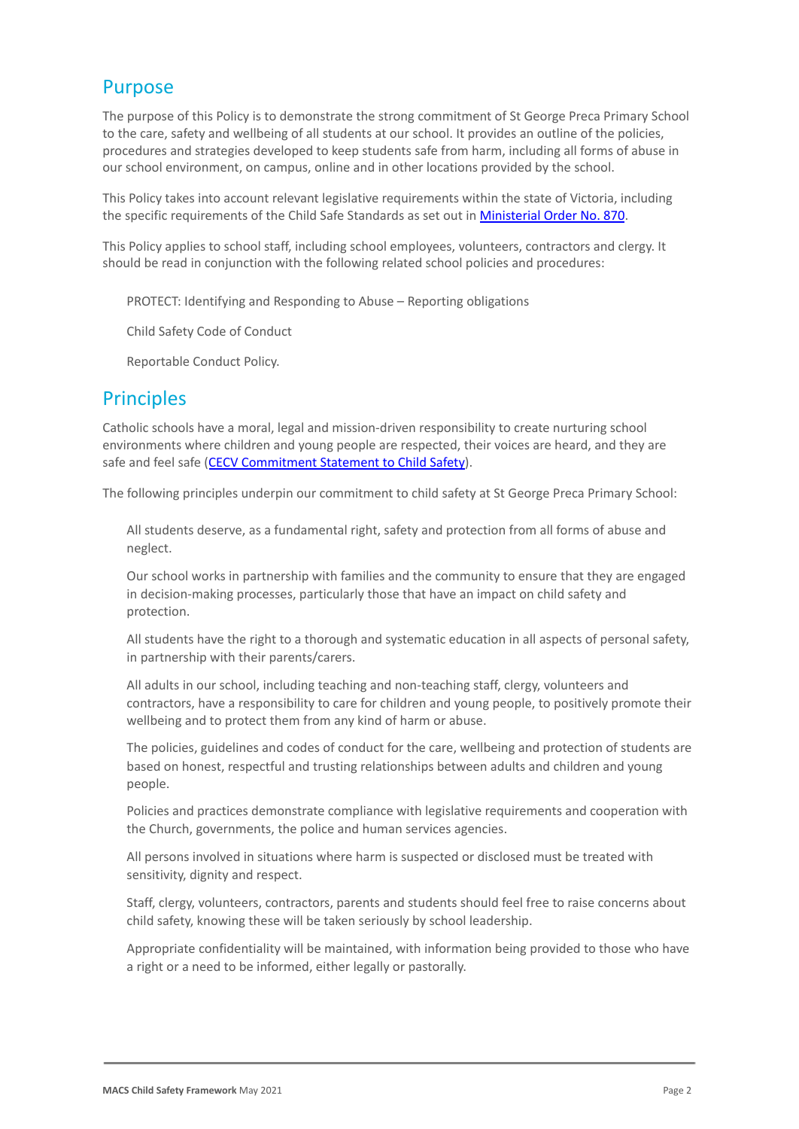### Purpose

The purpose of this Policy is to demonstrate the strong commitment of St George Preca Primary School to the care, safety and wellbeing of all students at our school. It provides an outline of the policies, procedures and strategies developed to keep students safe from harm, including all forms of abuse in our school environment, on campus, online and in other locations provided by the school.

This Policy takes into account relevant legislative requirements within the state of Victoria, including the specific requirements of the Child Safe Standards as set out in [Ministerial Order No. 870](http://www.gazette.vic.gov.au/gazette/Gazettes2016/GG2016S002.pdf).

This Policy applies to school staff, including school employees, volunteers, contractors and clergy. It should be read in conjunction with the following related school policies and procedures:

PROTECT: Identifying and Responding to Abuse – Reporting obligations

2. Child Safety Code of Conduct

Reportable Conduct Policy.

# **Principles**

Catholic schools have a moral, legal and mission-driven responsibility to create nurturing school environments where children and young people are respected, their voices are heard, and they are safe and feel safe ([CECV Commitment Statement to Child](https://www.cecv.catholic.edu.au/getmedia/b5d43278-51b9-4704-b45a-f14e50546a70/Commitment-Statement-A4.aspx) Safety).

The following principles underpin our commitment to child safety at St George Preca Primary School:

All students deserve, as a fundamental right, safety and protection from all forms of abuse and neglect.

Our school works in partnership with families and the community to ensure that they are engaged in decision-making processes, particularly those that have an impact on child safety and protection.

All students have the right to a thorough and systematic education in all aspects of personal safety, in partnership with their parents/carers.

All adults in our school, including teaching and non-teaching staff, clergy, volunteers and contractors, have a responsibility to care for children and young people, to positively promote their wellbeing and to protect them from any kind of harm or abuse.

The policies, guidelines and codes of conduct for the care, wellbeing and protection of students are based on honest, respectful and trusting relationships between adults and children and young people.

Policies and practices demonstrate compliance with legislative requirements and cooperation with the Church, governments, the police and human services agencies.

All persons involved in situations where harm is suspected or disclosed must be treated with sensitivity, dignity and respect.

Staff, clergy, volunteers, contractors, parents and students should feel free to raise concerns about child safety, knowing these will be taken seriously by school leadership.

Appropriate confidentiality will be maintained, with information being provided to those who have a right or a need to be informed, either legally or pastorally.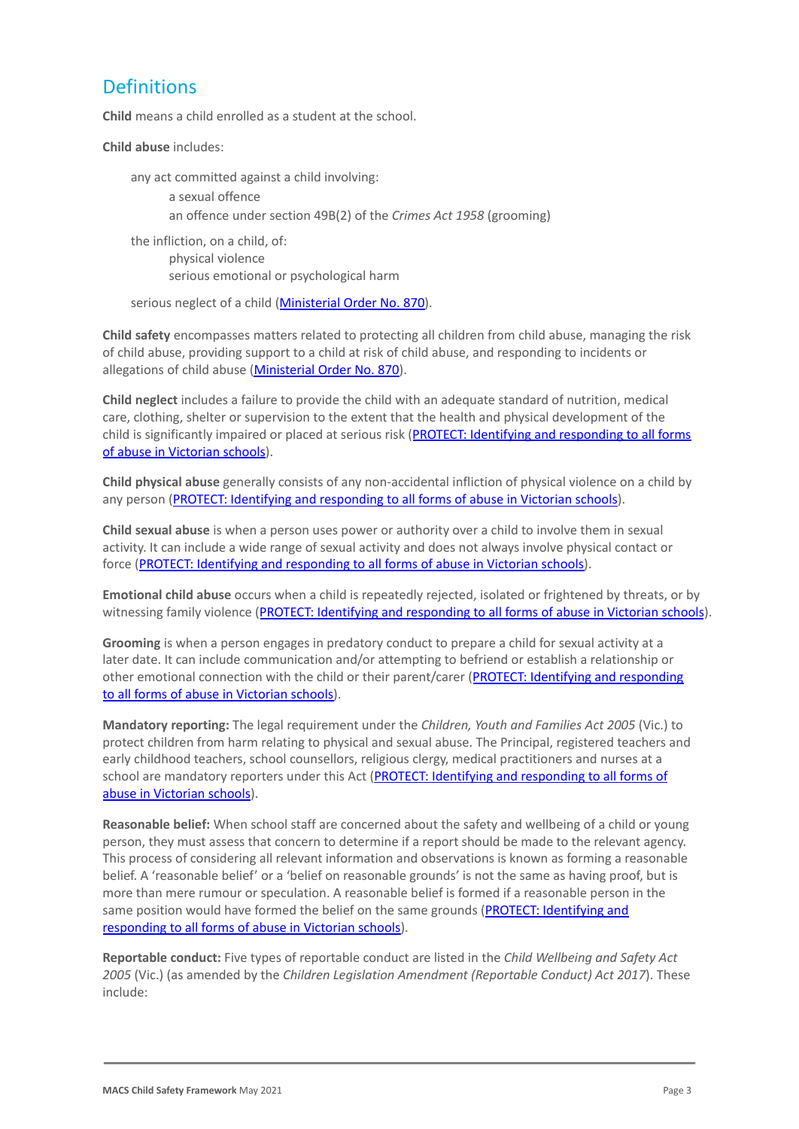# **Definitions**

**Child** means a child enrolled as a student at the school.

**Child abuse** includes:

any act committed against a child involving: a sexual offence an offence under section 49B(2) of the *Crimes Act* 1958 (grooming) the infliction, on a child, of: physical violence

serious emotional or psychological harm

serious neglect of a child ([Ministerial Order No.](http://www.gazette.vic.gov.au/gazette/Gazettes2016/GG2016S002.pdf) 870).

**Child safety** encompasses matters related to protecting all children from child abuse, managing the risk of child abuse, providing support to a child at risk of child abuse, and responding to incidents or allegations of child abuse [\(Ministerial Order No.](http://www.gazette.vic.gov.au/gazette/Gazettes2016/GG2016S002.pdf) 870).

**Child neglect** includes a failure to provide the child with an adequate standard of nutrition, medical care, clothing, shelter or supervision to the extent that the health and physical development of the child is significantly impaired or placed at serious risk ([PROTECT: Identifying and responding to all](http://www.cecv.catholic.edu.au/getmedia/ebe135a4-d1b3-48a0-81fe-50d4fc451bcd/Identifying-and-Responding-to-All-Forms-of-Abuse.aspx#page%3D27) forms [of abuse in Victorian schools](http://www.cecv.catholic.edu.au/getmedia/ebe135a4-d1b3-48a0-81fe-50d4fc451bcd/Identifying-and-Responding-to-All-Forms-of-Abuse.aspx#page%3D27)).

**Child physical abuse** generally consists of any non-accidental infliction of physical violence on a child by any person ([PROTECT: Identifying and responding to](https://www.cecv.catholic.edu.au/getmedia/ebe135a4-d1b3-48a0-81fe-50d4fc451bcd/Identifying-and-Responding-to-All-Forms-of-Abuse.aspx#page%3D15) all forms of abuse in Victorian schools).

**Child sexual abuse** is when a person uses power or authority over a child to involve them in sexual activity. It can include a wide range of sexual activity and does not always involve physical contact or force ([PROTECT: Identifying and responding to all](https://www.cecv.catholic.edu.au/getmedia/ebe135a4-d1b3-48a0-81fe-50d4fc451bcd/Identifying-and-Responding-to-All-Forms-of-Abuse.aspx#page%3D17) forms of abuse in Victorian schools).

**Emotional child abuse** occurs when a child is repeatedly rejected, isolated or frightened by threats, or by witnessing family violence (PROTECT: Identifying and [responding to all forms of abuse in Victorian schools](https://www.cecv.catholic.edu.au/getmedia/ebe135a4-d1b3-48a0-81fe-50d4fc451bcd/Identifying-and-Responding-to-All-Forms-of-Abuse.aspx#page%3D26)).

**Grooming** is when a person engages in predatory conduct to prepare a child for sexual activity at a later date. It can include communication and/or attempting to befriend or establish a relationship or other emotional connection with the child or their parent/carer ([PROTECT: Identifying and responding](https://www.cecv.catholic.edu.au/getmedia/ebe135a4-d1b3-48a0-81fe-50d4fc451bcd/Identifying-and-Responding-to-All-Forms-of-Abuse.aspx#page%3D20) [to all forms of abuse in Victorian schools\)](https://www.cecv.catholic.edu.au/getmedia/ebe135a4-d1b3-48a0-81fe-50d4fc451bcd/Identifying-and-Responding-to-All-Forms-of-Abuse.aspx#page%3D20).

**Mandatory reporting:** The legal requirement under the *Children, Youth and Families Act 2005* (Vic.) to protect children from harm relating to physical and sexual abuse. The Principal, registered teachers and early childhood teachers, school counsellors, religious clergy, medical practitioners and nurses at a school are mandatory reporters under this Act (PROTECT: [Identifying and responding to all forms of](http://www.cecv.catholic.edu.au/getmedia/ebe135a4-d1b3-48a0-81fe-50d4fc451bcd/Identifying-and-Responding-to-All-Forms-of-Abuse.aspx#page%3D8) [abuse in Victorian schools](http://www.cecv.catholic.edu.au/getmedia/ebe135a4-d1b3-48a0-81fe-50d4fc451bcd/Identifying-and-Responding-to-All-Forms-of-Abuse.aspx#page%3D8)).

**Reasonable belief:** When school staff are concerned about the safety and wellbeing of a child or young person, they must assess that concern to determine if a report should be made to the relevant agency. This process of considering all relevant information and observations is known as forming a reasonable belief. A 'reasonable belief' or a 'belief on reasonable grounds' is not the same as having proof, but is more than mere rumour or speculation. A reasonable belief is formed if a reasonable person in the same position would have formed the belief on the same grounds ([PROTECT: Identifying and](http://www.cecv.catholic.edu.au/getmedia/ebe135a4-d1b3-48a0-81fe-50d4fc451bcd/Identifying-and-Responding-to-All-Forms-of-Abuse.aspx#page%3D35) [responding to all forms of abuse in Victorian schools\)](http://www.cecv.catholic.edu.au/getmedia/ebe135a4-d1b3-48a0-81fe-50d4fc451bcd/Identifying-and-Responding-to-All-Forms-of-Abuse.aspx#page%3D35).

**Reportable conduct:** Five types of reportable conduct are listed in the *Child Wellbeing and Safety Act 2005* (Vic.) (as amended by the *Children Legislation Amendment (Reportable Conduct) Act 2017*). These include: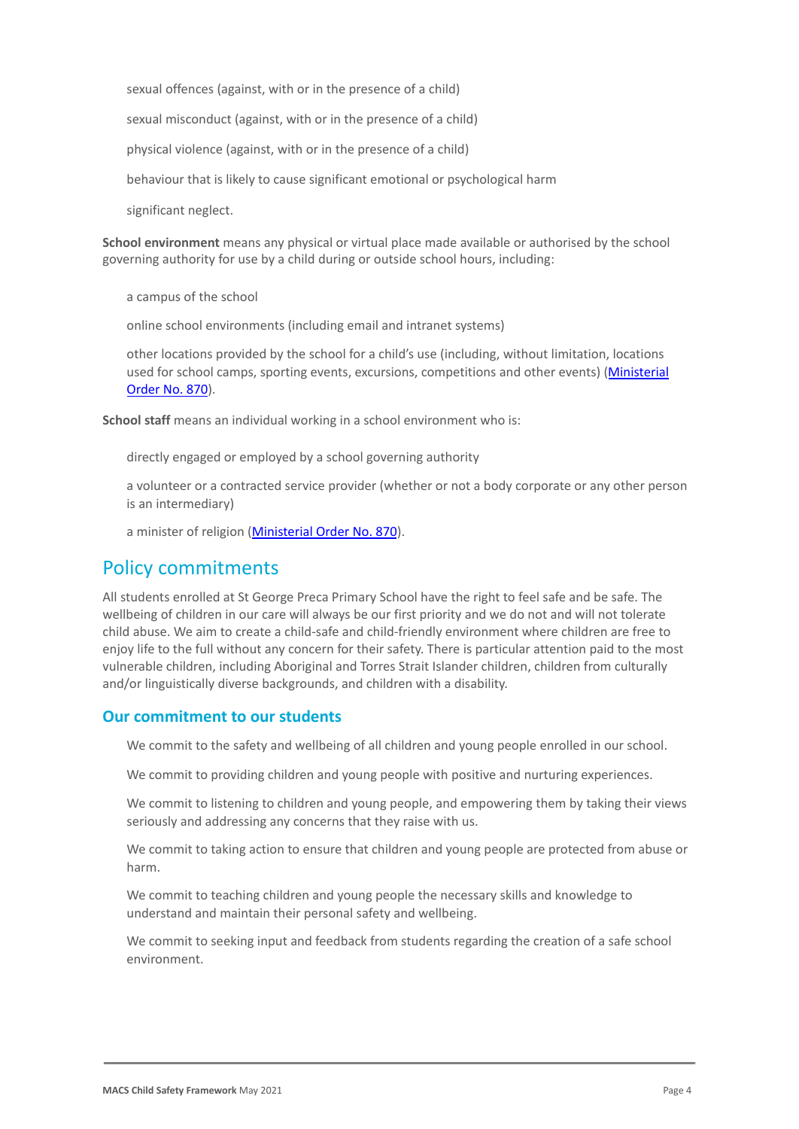sexual offences (against, with or in the presence of a child)

sexual misconduct (against, with or in the presence of a child)

physical violence (against, with or in the presence of a child)

behaviour that is likely to cause significant emotional or psychological harm

significant neglect.

**School environment** means any physical or virtual place made available or authorised by the school governing authority for use by a child during or outside school hours, including:

a campus of the school

online school environments (including email and intranet systems)

other locations provided by the school for a child's use (including, without limitation, locations used for school camps, sporting events, excursions, competitions and other events) ([Ministerial](http://www.gazette.vic.gov.au/gazette/Gazettes2016/GG2016S002.pdf) [Order No. 870](http://www.gazette.vic.gov.au/gazette/Gazettes2016/GG2016S002.pdf)).

**School staff** means an individual working in a school environment who is:

directly engaged or employed by a school governing authority

a volunteer or a contracted service provider (whether or not a body corporate or any other person is an intermediary)

a minister of religion [\(Ministerial Order No. 870](http://www.gazette.vic.gov.au/gazette/Gazettes2016/GG2016S002.pdf)).

### Policy commitments

All students enrolled at St George Preca Primary School have the right to feel safe and be safe. The wellbeing of children in our care will always be our first priority and we do not and will not tolerate child abuse. We aim to create a child-safe and child-friendly environment where children are free to enjoy life to the full without any concern for their safety. There is particular attention paid to the most vulnerable children, including Aboriginal and Torres Strait Islander children, children from culturally and/or linguistically diverse backgrounds, and children with a disability.

### **Our commitment to our students**

We commit to the safety and wellbeing of all children and young people enrolled in our school.

We commit to providing children and young people with positive and nurturing experiences.

We commit to listening to children and young people, and empowering them by taking their views seriously and addressing any concerns that they raise with us.

We commit to taking action to ensure that children and young people are protected from abuse or harm.

We commit to teaching children and young people the necessary skills and knowledge to understand and maintain their personal safety and wellbeing.

We commit to seeking input and feedback from students regarding the creation of a safe school environment.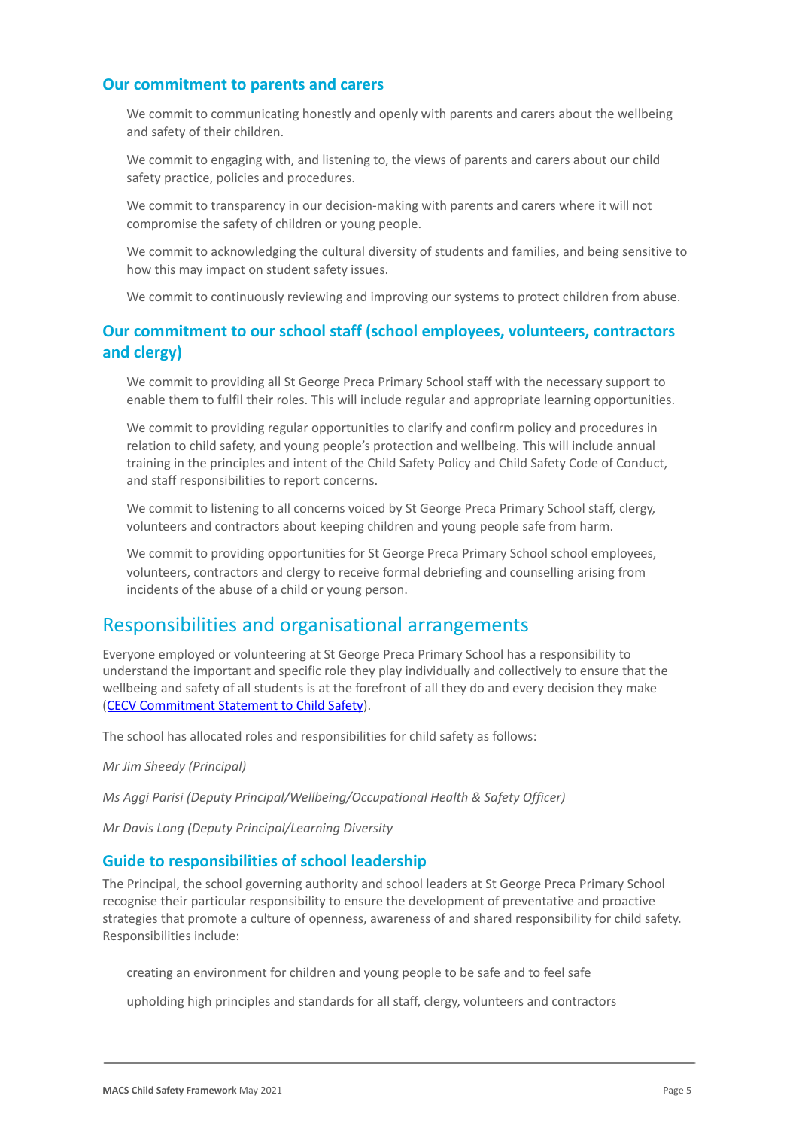#### **Our commitment to parents and carers**

We commit to communicating honestly and openly with parents and carers about the wellbeing and safety of their children.

We commit to engaging with, and listening to, the views of parents and carers about our child safety practice, policies and procedures.

We commit to transparency in our decision-making with parents and carers where it will not compromise the safety of children or young people.

We commit to acknowledging the cultural diversity of students and families, and being sensitive to how this may impact on student safety issues.

We commit to continuously reviewing and improving our systems to protect children from abuse.

### **Our commitment to our school staff (school employees, volunteers, contractors and clergy)**

We commit to providing all St George Preca Primary School staff with the necessary support to enable them to fulfil their roles. This will include regular and appropriate learning opportunities.

We commit to providing regular opportunities to clarify and confirm policy and procedures in relation to child safety, and young people's protection and wellbeing. This will include annual training in the principles and intent of the Child Safety Policy and Child Safety Code of Conduct, and staff responsibilities to report concerns.

We commit to listening to all concerns voiced by St George Preca Primary School staff, clergy, volunteers and contractors about keeping children and young people safe from harm.

We commit to providing opportunities for St George Preca Primary School school employees, volunteers, contractors and clergy to receive formal debriefing and counselling arising from incidents of the abuse of a child or young person.

### Responsibilities and organisational arrangements

Everyone employed or volunteering at St George Preca Primary School has a responsibility to understand the important and specific role they play individually and collectively to ensure that the wellbeing and safety of all students is at the forefront of all they do and every decision they make ([CECV Commitment Statement to Child Safety](https://www.cecv.catholic.edu.au/getmedia/b5d43278-51b9-4704-b45a-f14e50546a70/Commitment-Statement-A4.aspx)).

The school has allocated roles and responsibilities for child safety as follows:

*Mr Jim Sheedy (Principal)*

*Ms Aggi Parisi (Deputy Principal/Wellbeing/Occupational Health & Safety Officer)*

*Mr Davis Long (Deputy Principal/Learning Diversity*

#### **Guide to responsibilities of school leadership**

The Principal, the school governing authority and school leaders at St George Preca Primary School recognise their particular responsibility to ensure the development of preventative and proactive strategies that promote a culture of openness, awareness of and shared responsibility for child safety. Responsibilities include:

creating an environment for children and young people to be safe and to feel safe

upholding high principles and standards for all staff, clergy, volunteers and contractors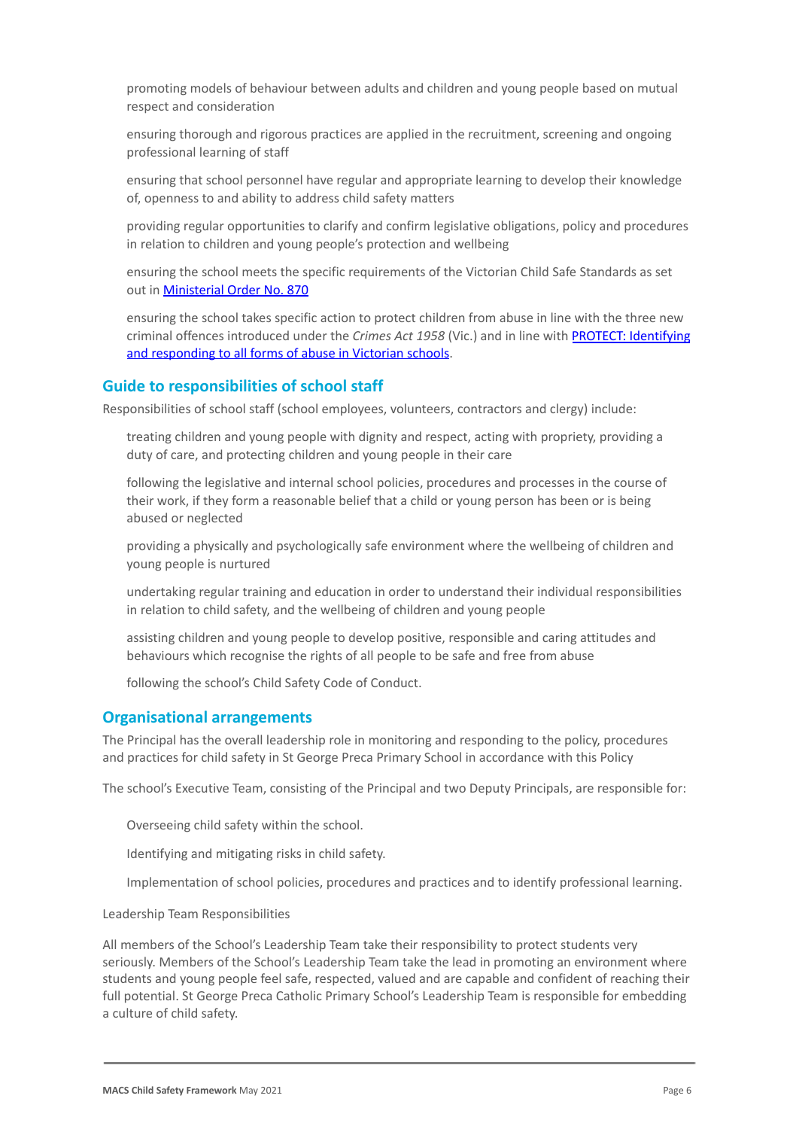promoting models of behaviour between adults and children and young people based on mutual respect and consideration

ensuring thorough and rigorous practices are applied in the recruitment, screening and ongoing professional learning of staff

ensuring that school personnel have regular and appropriate learning to develop their knowledge of, openness to and ability to address child safety matters

providing regular opportunities to clarify and confirm legislative obligations, policy and procedures in relation to children and young people's protection and wellbeing

ensuring the school meets the specific requirements of the Victorian Child Safe Standards as set out in [Ministerial Order No. 870](http://www.gazette.vic.gov.au/gazette/Gazettes2016/GG2016S002.pdf)

ensuring the school takes specific action to protect children from abuse in line with the three new criminal offences introduced under the *Crimes Act 1958* (Vic.) and in line with [PROTECT: Identifying](http://www.cecv.catholic.edu.au/getmedia/ebe135a4-d1b3-48a0-81fe-50d4fc451bcd/Identifying-and-Responding-to-All-Forms-of-Abuse.aspx) [and responding to all forms of abuse in Victorian](http://www.cecv.catholic.edu.au/getmedia/ebe135a4-d1b3-48a0-81fe-50d4fc451bcd/Identifying-and-Responding-to-All-Forms-of-Abuse.aspx) schools.

### **Guide to responsibilities of school staff**

Responsibilities of school staff (school employees, volunteers, contractors and clergy) include:

treating children and young people with dignity and respect, acting with propriety, providing a duty of care, and protecting children and young people in their care

following the legislative and internal school policies, procedures and processes in the course of their work, if they form a reasonable belief that a child or young person has been or is being abused or neglected

providing a physically and psychologically safe environment where the wellbeing of children and young people is nurtured

undertaking regular training and education in order to understand their individual responsibilities in relation to child safety, and the wellbeing of children and young people

assisting children and young people to develop positive, responsible and caring attitudes and behaviours which recognise the rights of all people to be safe and free from abuse

following the school's Child Safety Code of Conduct.

#### **Organisational arrangements**

The Principal has the overall leadership role in monitoring and responding to the policy, procedures and practices for child safety in St George Preca Primary School in accordance with this Policy

The school's Executive Team, consisting of the Principal and two Deputy Principals, are responsible for:

Overseeing child safety within the school.

Identifying and mitigating risks in child safety.

Implementation of school policies, procedures and practices and to identify professional learning.

Leadership Team Responsibilities

All members of the School's Leadership Team take their responsibility to protect students very seriously. Members of the School's Leadership Team take the lead in promoting an environment where students and young people feel safe, respected, valued and are capable and confident of reaching their full potential. St George Preca Catholic Primary School's Leadership Team is responsible for embedding a culture of child safety.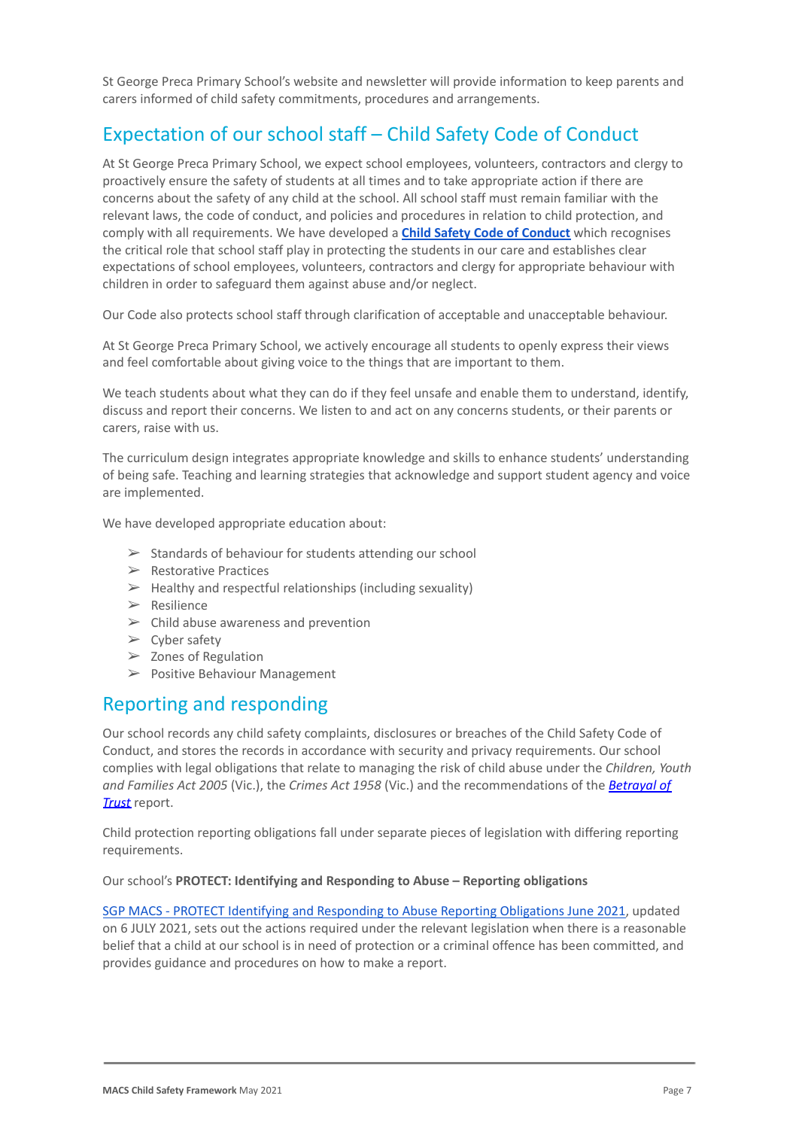St George Preca Primary School's website and newsletter will provide information to keep parents and carers informed of child safety commitments, procedures and arrangements.

# Expectation of our school staff – Child Safety Code of Conduct

At St George Preca Primary School, we expect school employees, volunteers, contractors and clergy to proactively ensure the safety of students at all times and to take appropriate action if there are concerns about the safety of any child at the school. All school staff must remain familiar with the relevant laws, the code of conduct, and policies and procedures in relation to child protection, and comply with all requirements. We have developed a **[Child Safety Code of Conduct](https://docs.google.com/document/d/165cDXE4-nMK5ZJAvDPchfZ0_LaNSpMoXBDnktCdVsk0/edit)** which recognises the critical role that school staff play in protecting the students in our care and establishes clear expectations of school employees, volunteers, contractors and clergy for appropriate behaviour with children in order to safeguard them against abuse and/or neglect.

Our Code also protects school staff through clarification of acceptable and unacceptable behaviour.

At St George Preca Primary School, we actively encourage all students to openly express their views and feel comfortable about giving voice to the things that are important to them.

We teach students about what they can do if they feel unsafe and enable them to understand, identify, discuss and report their concerns. We listen to and act on any concerns students, or their parents or carers, raise with us.

The curriculum design integrates appropriate knowledge and skills to enhance students' understanding of being safe. Teaching and learning strategies that acknowledge and support student agency and voice are implemented.

We have developed appropriate education about:

- $\geq$  Standards of behaviour for students attending our school
- ➢ Restorative Practices
- $\triangleright$  Healthy and respectful relationships (including sexuality)
- $\triangleright$  Resilience
- $\triangleright$  Child abuse awareness and prevention
- $\triangleright$  Cyber safety
- $\geq$  Zones of Regulation
- ➢ Positive Behaviour Management

# Reporting and responding

Our school records any child safety complaints, disclosures or breaches of the Child Safety Code of Conduct, and stores the records in accordance with security and privacy requirements. Our school complies with legal obligations that relate to managing the risk of child abuse under the *Children, Youth and Families Act 2005* (Vic.), the *Crimes Act 1958* (Vic.) and the recommendations of the *[Betrayal of](http://www.parliament.vic.gov.au/fcdc/article/1788) [Trust](http://www.parliament.vic.gov.au/fcdc/article/1788)* report.

Child protection reporting obligations fall under separate pieces of legislation with differing reporting requirements.

Our school's **PROTECT: Identifying and Responding to Abuse – Reporting obligations**

[SGP MACS - PROTECT Identifying and Responding to Abuse](https://docs.google.com/document/d/11Qvm2DOzKiDixpPotuyvuyQrktpDsYYKZcvamO1Z5ms/edit#heading=h.gjdgxs) Reporting Obligations June 2021, updated on 6 JULY 2021, sets out the actions required under the relevant legislation when there is a reasonable belief that a child at our school is in need of protection or a criminal offence has been committed, and provides guidance and procedures on how to make a report.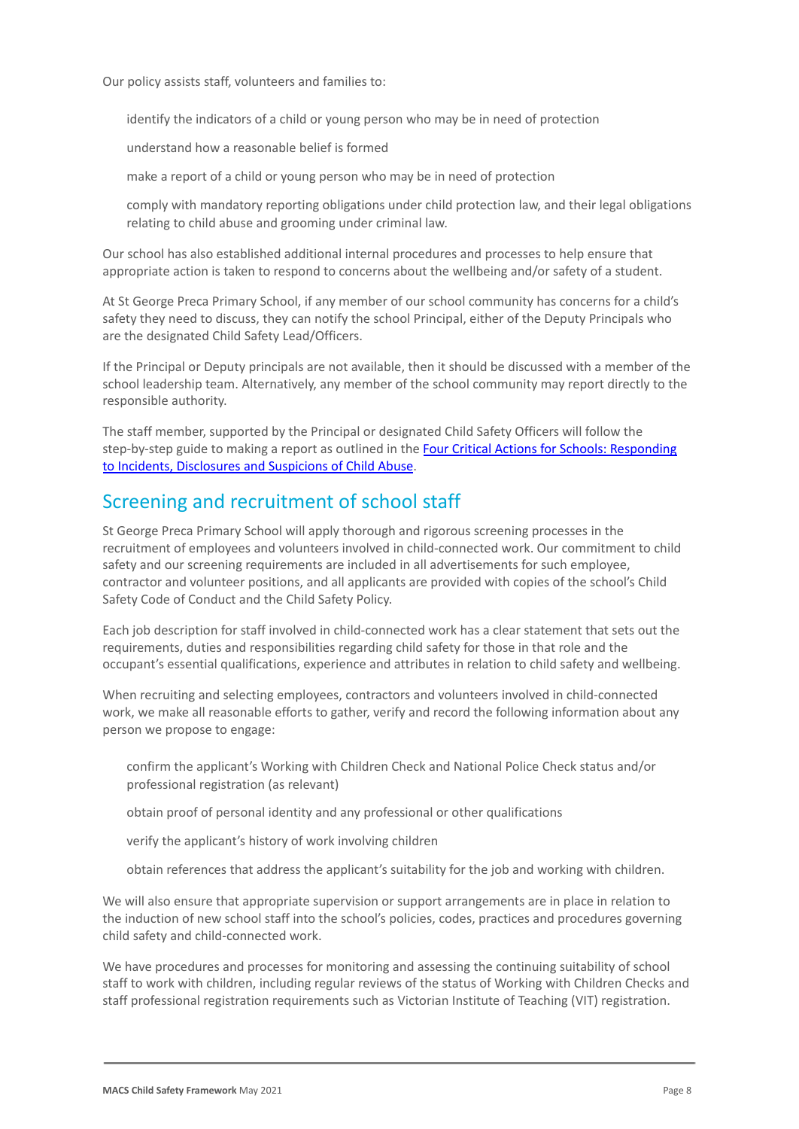Our policy assists staff, volunteers and families to:

identify the indicators of a child or young person who may be in need of protection

understand how a reasonable belief is formed

make a report of a child or young person who may be in need of protection

comply with mandatory reporting obligations under child protection law, and their legal obligations relating to child abuse and grooming under criminal law.

Our school has also established additional internal procedures and processes to help ensure that appropriate action is taken to respond to concerns about the wellbeing and/or safety of a student.

At St George Preca Primary School, if any member of our school community has concerns for a child's safety they need to discuss, they can notify the school Principal, either of the Deputy Principals who are the designated Child Safety Lead/Officers.

If the Principal or Deputy principals are not available, then it should be discussed with a member of the school leadership team. Alternatively, any member of the school community may report directly to the responsible authority.

The staff member, supported by the Principal or designated Child Safety Officers will follow the step-by-step guide to making a report as outlined in the [Four Critical Actions for Schools: Responding](https://www.education.vic.gov.au/Documents/about/programs/health/protect/FourCriticalActions_ChildAbuse.pdf) [to Incidents, Disclosures and Suspicions of Child](https://www.education.vic.gov.au/Documents/about/programs/health/protect/FourCriticalActions_ChildAbuse.pdf) Abuse.

# Screening and recruitment of school staff

St George Preca Primary School will apply thorough and rigorous screening processes in the recruitment of employees and volunteers involved in child-connected work. Our commitment to child safety and our screening requirements are included in all advertisements for such employee, contractor and volunteer positions, and all applicants are provided with copies of the school's Child Safety Code of Conduct and the Child Safety Policy.

Each job description for staff involved in child-connected work has a clear statement that sets out the requirements, duties and responsibilities regarding child safety for those in that role and the occupant's essential qualifications, experience and attributes in relation to child safety and wellbeing.

When recruiting and selecting employees, contractors and volunteers involved in child-connected work, we make all reasonable efforts to gather, verify and record the following information about any person we propose to engage:

confirm the applicant's Working with Children Check and National Police Check status and/or professional registration (as relevant)

obtain proof of personal identity and any professional or other qualifications

verify the applicant's history of work involving children

obtain references that address the applicant's suitability for the job and working with children.

We will also ensure that appropriate supervision or support arrangements are in place in relation to the induction of new school staff into the school's policies, codes, practices and procedures governing child safety and child-connected work.

We have procedures and processes for monitoring and assessing the continuing suitability of school staff to work with children, including regular reviews of the status of Working with Children Checks and staff professional registration requirements such as Victorian Institute of Teaching (VIT) registration.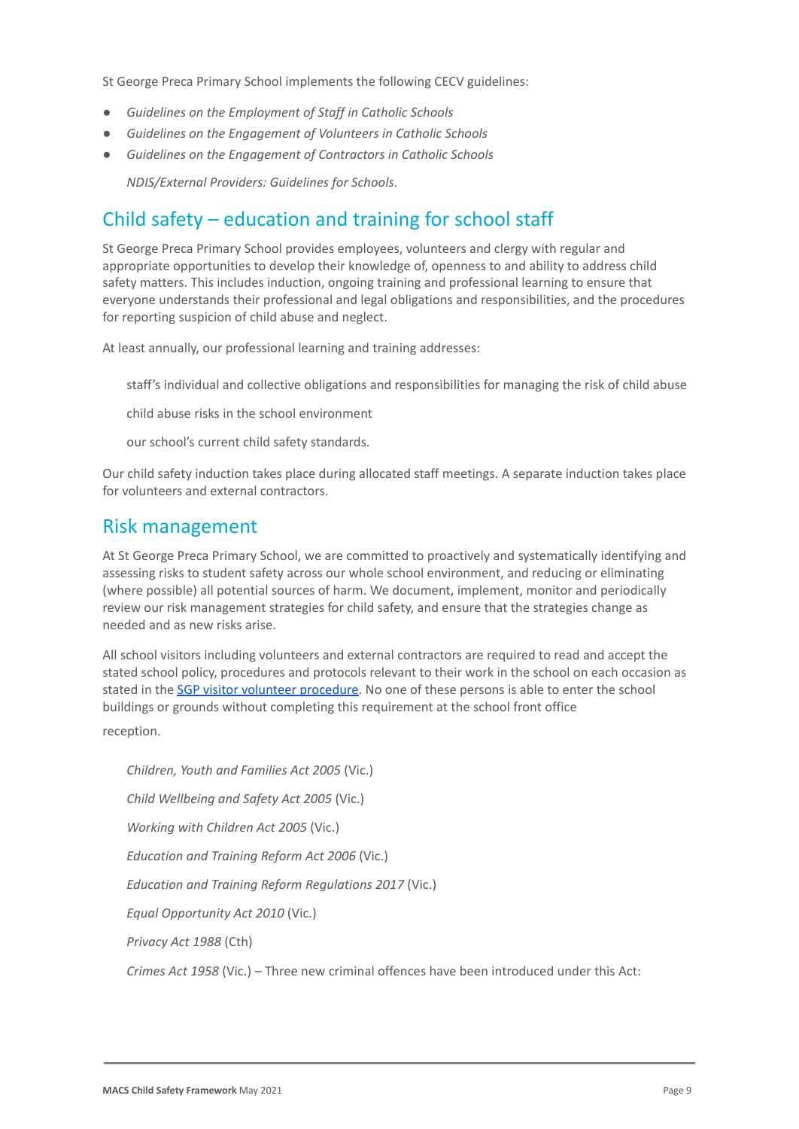St George Preca Primary School implements the following CECV guidelines:

- *● Guidelines on the Employment of Staff in Catholic Schools*
- *● Guidelines on the Engagement of Volunteers in Catholic Schools*
- *● Guidelines on the Engagement of Contractors in Catholic Schools* ● *NDIS/External Providers: Guidelines for Schools*.

# Child safety – education and training for school staff

St George Preca Primary School provides employees, volunteers and clergy with regular and appropriate opportunities to develop their knowledge of, openness to and ability to address child safety matters. This includes induction, ongoing training and professional learning to ensure that everyone understands their professional and legal obligations and responsibilities, and the procedures for reporting suspicion of child abuse and neglect.

At least annually, our professional learning and training addresses:

staff's individual and collective obligations and responsibilities for managing the risk of child abuse

child abuse risks in the school environment

our school's current child safety standards.

Our child safety induction takes place during allocated staff meetings. A separate induction takes place for volunteers and external contractors.

### Risk management

At St George Preca Primary School, we are committed to proactively and systematically identifying and assessing risks to student safety across our whole school environment, and reducing or eliminating (where possible) all potential sources of harm. We document, implement, monitor and periodically review our risk management strategies for child safety, and ensure that the strategies change as needed and as new risks arise.

All school visitors including volunteers and external contractors are required to read and accept the stated school policy, procedures and protocols relevant to their work in the school on each occasion as stated in the [SGP visitor volunteer procedure.](https://drive.google.com/file/d/12lreV1S1qcXsEGas3tEtjrn4xL4Kef-E/view?usp=sharing) No one of these persons is able to enter the school buildings or grounds without completing this requirement at the school front office

reception.

● *Children, Youth and Families Act 2005* (Vic.) ● *Child Wellbeing and Safety Act 2005* (Vic.) ● *Working with Children Act 2005* (Vic.) *Education and Training Reform Act 2006 (Vic.)* ● *Education and Training Reform Regulations 2017* (Vic.) ● *Equal Opportunity Act 2010* (Vic.) ● *Privacy Act 1988* (Cth) ● *Crimes Act 1958* (Vic.) – Three new criminal offences have been introduced under this Act: